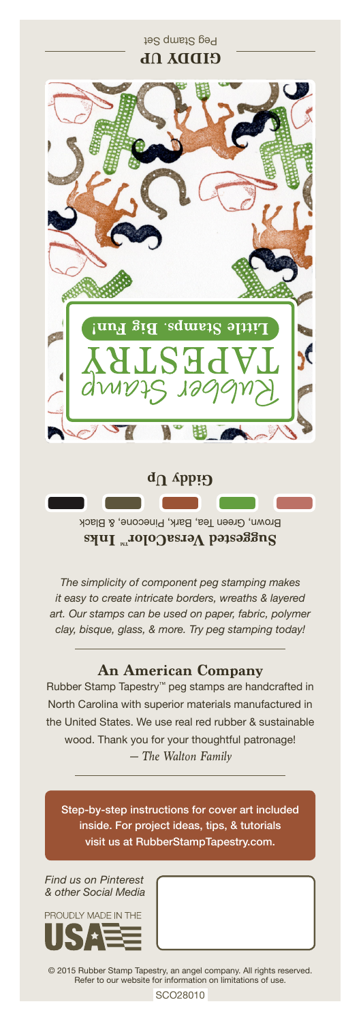Peg Stamp Set GIDDA N**b** sdweig'. និទ្រ ie Giddy Up

Brown, Green Tea, Bark, Pinecone, & Black **Suggested VersaColor** Inks

*The simplicity of component peg stamping makes it easy to create intricate borders, wreaths & layered art. Our stamps can be used on paper, fabric, polymer clay, bisque, glass, & more. Try peg stamping today!*

## **An American Company**

*— The Walton Family* Rubber Stamp Tapestry™ peg stamps are handcrafted in North Carolina with superior materials manufactured in the United States. We use real red rubber & sustainable wood. Thank you for your thoughtful patronage!

Step-by-step instructions for cover art included inside. For project ideas, tips, & tutorials visit us at RubberStampTapestry.com.

*Find us on Pinterest & other Social Media*



© 2015 Rubber Stamp Tapestry, an angel company. All rights reserved. Refer to our website for information on limitations of use.